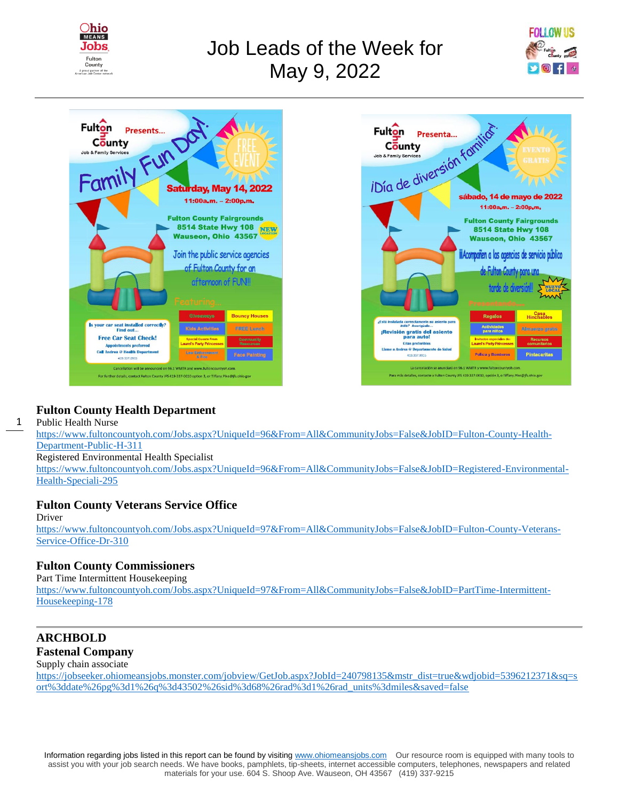

# Job Leads of the Week for May 9, 2022







### **Fulton County Health Department**

1 Public Health Nurse

[https://www.fultoncountyoh.com/Jobs.aspx?UniqueId=96&From=All&CommunityJobs=False&JobID=Fulton-County-Health-](https://www.fultoncountyoh.com/Jobs.aspx?UniqueId=96&From=All&CommunityJobs=False&JobID=Fulton-County-Health-Department-Public-H-311)[Department-Public-H-311](https://www.fultoncountyoh.com/Jobs.aspx?UniqueId=96&From=All&CommunityJobs=False&JobID=Fulton-County-Health-Department-Public-H-311) Registered Environmental Health Specialist

[https://www.fultoncountyoh.com/Jobs.aspx?UniqueId=96&From=All&CommunityJobs=False&JobID=Registered-Environmental-](https://www.fultoncountyoh.com/Jobs.aspx?UniqueId=96&From=All&CommunityJobs=False&JobID=Registered-Environmental-Health-Speciali-295)[Health-Speciali-295](https://www.fultoncountyoh.com/Jobs.aspx?UniqueId=96&From=All&CommunityJobs=False&JobID=Registered-Environmental-Health-Speciali-295)

### **Fulton County Veterans Service Office**

#### Driver

[https://www.fultoncountyoh.com/Jobs.aspx?UniqueId=97&From=All&CommunityJobs=False&JobID=Fulton-County-Veterans-](https://www.fultoncountyoh.com/Jobs.aspx?UniqueId=97&From=All&CommunityJobs=False&JobID=Fulton-County-Veterans-Service-Office-Dr-310)[Service-Office-Dr-310](https://www.fultoncountyoh.com/Jobs.aspx?UniqueId=97&From=All&CommunityJobs=False&JobID=Fulton-County-Veterans-Service-Office-Dr-310)

### **Fulton County Commissioners**

Part Time Intermittent Housekeeping

[https://www.fultoncountyoh.com/Jobs.aspx?UniqueId=97&From=All&CommunityJobs=False&JobID=PartTime-Intermittent-](https://www.fultoncountyoh.com/Jobs.aspx?UniqueId=97&From=All&CommunityJobs=False&JobID=PartTime-Intermittent-Housekeeping-178)[Housekeeping-178](https://www.fultoncountyoh.com/Jobs.aspx?UniqueId=97&From=All&CommunityJobs=False&JobID=PartTime-Intermittent-Housekeeping-178)

### **ARCHBOLD Fastenal Company**

Supply chain associate

[https://jobseeker.ohiomeansjobs.monster.com/jobview/GetJob.aspx?JobId=240798135&mstr\\_dist=true&wdjobid=5396212371&sq=s](https://jobseeker.ohiomeansjobs.monster.com/jobview/GetJob.aspx?JobId=240798135&mstr_dist=true&wdjobid=5396212371&sq=sort%3ddate%26pg%3d1%26q%3d43502%26sid%3d68%26rad%3d1%26rad_units%3dmiles&saved=false) [ort%3ddate%26pg%3d1%26q%3d43502%26sid%3d68%26rad%3d1%26rad\\_units%3dmiles&saved=false](https://jobseeker.ohiomeansjobs.monster.com/jobview/GetJob.aspx?JobId=240798135&mstr_dist=true&wdjobid=5396212371&sq=sort%3ddate%26pg%3d1%26q%3d43502%26sid%3d68%26rad%3d1%26rad_units%3dmiles&saved=false)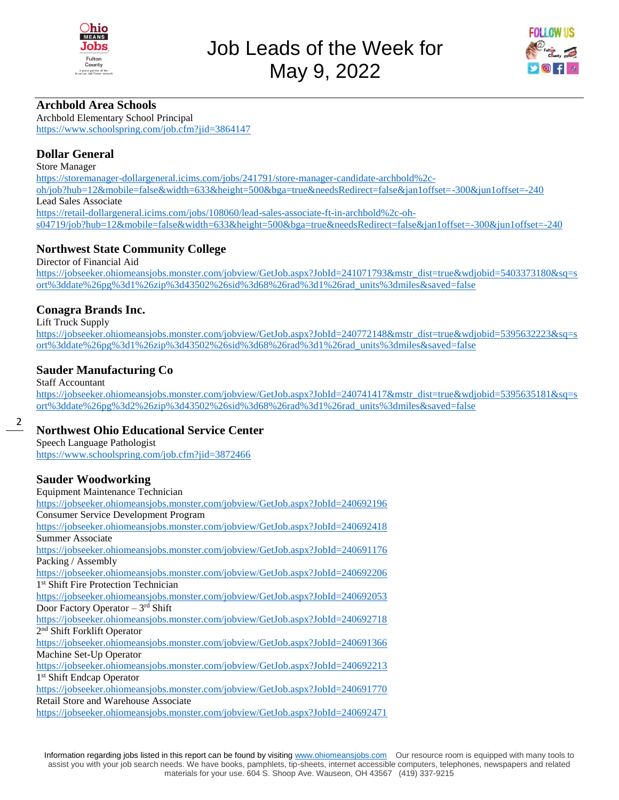



### **Archbold Area Schools**

Archbold Elementary School Principal <https://www.schoolspring.com/job.cfm?jid=3864147>

### **Dollar General**

Store Manager

[https://storemanager-dollargeneral.icims.com/jobs/241791/store-manager-candidate-archbold%2c](https://storemanager-dollargeneral.icims.com/jobs/241791/store-manager-candidate-archbold%2c-oh/job?hub=12&mobile=false&width=633&height=500&bga=true&needsRedirect=false&jan1offset=-300&jun1offset=-240)[oh/job?hub=12&mobile=false&width=633&height=500&bga=true&needsRedirect=false&jan1offset=-300&jun1offset=-240](https://storemanager-dollargeneral.icims.com/jobs/241791/store-manager-candidate-archbold%2c-oh/job?hub=12&mobile=false&width=633&height=500&bga=true&needsRedirect=false&jan1offset=-300&jun1offset=-240) Lead Sales Associate [https://retail-dollargeneral.icims.com/jobs/108060/lead-sales-associate-ft-in-archbold%2c-oh](https://retail-dollargeneral.icims.com/jobs/108060/lead-sales-associate-ft-in-archbold%2c-oh-s04719/job?hub=12&mobile=false&width=633&height=500&bga=true&needsRedirect=false&jan1offset=-300&jun1offset=-240)[s04719/job?hub=12&mobile=false&width=633&height=500&bga=true&needsRedirect=false&jan1offset=-300&jun1offset=-240](https://retail-dollargeneral.icims.com/jobs/108060/lead-sales-associate-ft-in-archbold%2c-oh-s04719/job?hub=12&mobile=false&width=633&height=500&bga=true&needsRedirect=false&jan1offset=-300&jun1offset=-240)

### **Northwest State Community College**

Director of Financial Aid

[https://jobseeker.ohiomeansjobs.monster.com/jobview/GetJob.aspx?JobId=241071793&mstr\\_dist=true&wdjobid=5403373180&sq=s](https://jobseeker.ohiomeansjobs.monster.com/jobview/GetJob.aspx?JobId=241071793&mstr_dist=true&wdjobid=5403373180&sq=sort%3ddate%26pg%3d1%26zip%3d43502%26sid%3d68%26rad%3d1%26rad_units%3dmiles&saved=false) [ort%3ddate%26pg%3d1%26zip%3d43502%26sid%3d68%26rad%3d1%26rad\\_units%3dmiles&saved=false](https://jobseeker.ohiomeansjobs.monster.com/jobview/GetJob.aspx?JobId=241071793&mstr_dist=true&wdjobid=5403373180&sq=sort%3ddate%26pg%3d1%26zip%3d43502%26sid%3d68%26rad%3d1%26rad_units%3dmiles&saved=false)

### **Conagra Brands Inc.**

Lift Truck Supply

[https://jobseeker.ohiomeansjobs.monster.com/jobview/GetJob.aspx?JobId=240772148&mstr\\_dist=true&wdjobid=5395632223&sq=s](https://jobseeker.ohiomeansjobs.monster.com/jobview/GetJob.aspx?JobId=240772148&mstr_dist=true&wdjobid=5395632223&sq=sort%3ddate%26pg%3d1%26zip%3d43502%26sid%3d68%26rad%3d1%26rad_units%3dmiles&saved=false) [ort%3ddate%26pg%3d1%26zip%3d43502%26sid%3d68%26rad%3d1%26rad\\_units%3dmiles&saved=false](https://jobseeker.ohiomeansjobs.monster.com/jobview/GetJob.aspx?JobId=240772148&mstr_dist=true&wdjobid=5395632223&sq=sort%3ddate%26pg%3d1%26zip%3d43502%26sid%3d68%26rad%3d1%26rad_units%3dmiles&saved=false)

### **Sauder Manufacturing Co**

Staff Accountant

[https://jobseeker.ohiomeansjobs.monster.com/jobview/GetJob.aspx?JobId=240741417&mstr\\_dist=true&wdjobid=5395635181&sq=s](https://jobseeker.ohiomeansjobs.monster.com/jobview/GetJob.aspx?JobId=240741417&mstr_dist=true&wdjobid=5395635181&sq=sort%3ddate%26pg%3d2%26zip%3d43502%26sid%3d68%26rad%3d1%26rad_units%3dmiles&saved=false) [ort%3ddate%26pg%3d2%26zip%3d43502%26sid%3d68%26rad%3d1%26rad\\_units%3dmiles&saved=false](https://jobseeker.ohiomeansjobs.monster.com/jobview/GetJob.aspx?JobId=240741417&mstr_dist=true&wdjobid=5395635181&sq=sort%3ddate%26pg%3d2%26zip%3d43502%26sid%3d68%26rad%3d1%26rad_units%3dmiles&saved=false)

### 2

### **Northwest Ohio Educational Service Center**

Speech Language Pathologist <https://www.schoolspring.com/job.cfm?jid=3872466>

### **Sauder Woodworking**

| Equipment Maintenance Technician                                                |
|---------------------------------------------------------------------------------|
| https://jobseeker.ohiomeansjobs.monster.com/jobview/GetJob.aspx?JobId=240692196 |
| <b>Consumer Service Development Program</b>                                     |
| https://jobseeker.ohiomeansjobs.monster.com/jobview/GetJob.aspx?JobId=240692418 |
| Summer Associate                                                                |
| https://jobseeker.ohiomeansjobs.monster.com/jobview/GetJob.aspx?JobId=240691176 |
| Packing / Assembly                                                              |
| https://jobseeker.ohiomeansjobs.monster.com/jobview/GetJob.aspx?JobId=240692206 |
| 1 <sup>st</sup> Shift Fire Protection Technician                                |
| https://jobseeker.ohiomeansjobs.monster.com/jobview/GetJob.aspx?JobId=240692053 |
| Door Factory Operator – $3rd$ Shift                                             |
| https://jobseeker.ohiomeansjobs.monster.com/jobview/GetJob.aspx?JobId=240692718 |
| 2 <sup>nd</sup> Shift Forklift Operator                                         |
| https://jobseeker.ohiomeansjobs.monster.com/jobview/GetJob.aspx?JobId=240691366 |
| Machine Set-Up Operator                                                         |
| https://jobseeker.ohiomeansjobs.monster.com/jobview/GetJob.aspx?JobId=240692213 |
| 1 <sup>st</sup> Shift Endcap Operator                                           |
| https://jobseeker.ohiomeansjobs.monster.com/jobview/GetJob.aspx?JobId=240691770 |
| Retail Store and Warehouse Associate                                            |
| https://jobseeker.ohiomeansjobs.monster.com/jobview/GetJob.aspx?JobId=240692471 |
|                                                                                 |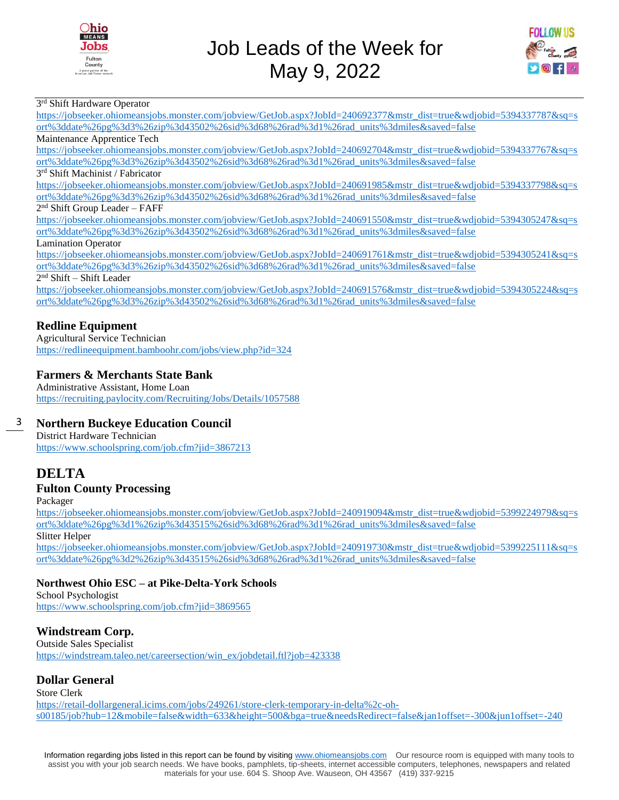



### 3<sup>rd</sup> Shift Hardware Operator

[https://jobseeker.ohiomeansjobs.monster.com/jobview/GetJob.aspx?JobId=240692377&mstr\\_dist=true&wdjobid=5394337787&sq=s](https://jobseeker.ohiomeansjobs.monster.com/jobview/GetJob.aspx?JobId=240692377&mstr_dist=true&wdjobid=5394337787&sq=sort%3ddate%26pg%3d3%26zip%3d43502%26sid%3d68%26rad%3d1%26rad_units%3dmiles&saved=false) [ort%3ddate%26pg%3d3%26zip%3d43502%26sid%3d68%26rad%3d1%26rad\\_units%3dmiles&saved=false](https://jobseeker.ohiomeansjobs.monster.com/jobview/GetJob.aspx?JobId=240692377&mstr_dist=true&wdjobid=5394337787&sq=sort%3ddate%26pg%3d3%26zip%3d43502%26sid%3d68%26rad%3d1%26rad_units%3dmiles&saved=false)

Maintenance Apprentice Tech

[https://jobseeker.ohiomeansjobs.monster.com/jobview/GetJob.aspx?JobId=240692704&mstr\\_dist=true&wdjobid=5394337767&sq=s](https://jobseeker.ohiomeansjobs.monster.com/jobview/GetJob.aspx?JobId=240692704&mstr_dist=true&wdjobid=5394337767&sq=sort%3ddate%26pg%3d3%26zip%3d43502%26sid%3d68%26rad%3d1%26rad_units%3dmiles&saved=false) [ort%3ddate%26pg%3d3%26zip%3d43502%26sid%3d68%26rad%3d1%26rad\\_units%3dmiles&saved=false](https://jobseeker.ohiomeansjobs.monster.com/jobview/GetJob.aspx?JobId=240692704&mstr_dist=true&wdjobid=5394337767&sq=sort%3ddate%26pg%3d3%26zip%3d43502%26sid%3d68%26rad%3d1%26rad_units%3dmiles&saved=false)

#### 3 rd Shift Machinist / Fabricator

[https://jobseeker.ohiomeansjobs.monster.com/jobview/GetJob.aspx?JobId=240691985&mstr\\_dist=true&wdjobid=5394337798&sq=s](https://jobseeker.ohiomeansjobs.monster.com/jobview/GetJob.aspx?JobId=240691985&mstr_dist=true&wdjobid=5394337798&sq=sort%3ddate%26pg%3d3%26zip%3d43502%26sid%3d68%26rad%3d1%26rad_units%3dmiles&saved=false) [ort%3ddate%26pg%3d3%26zip%3d43502%26sid%3d68%26rad%3d1%26rad\\_units%3dmiles&saved=false](https://jobseeker.ohiomeansjobs.monster.com/jobview/GetJob.aspx?JobId=240691985&mstr_dist=true&wdjobid=5394337798&sq=sort%3ddate%26pg%3d3%26zip%3d43502%26sid%3d68%26rad%3d1%26rad_units%3dmiles&saved=false)

#### 2<sup>nd</sup> Shift Group Leader - FAFF

[https://jobseeker.ohiomeansjobs.monster.com/jobview/GetJob.aspx?JobId=240691550&mstr\\_dist=true&wdjobid=5394305247&sq=s](https://jobseeker.ohiomeansjobs.monster.com/jobview/GetJob.aspx?JobId=240691550&mstr_dist=true&wdjobid=5394305247&sq=sort%3ddate%26pg%3d3%26zip%3d43502%26sid%3d68%26rad%3d1%26rad_units%3dmiles&saved=false) [ort%3ddate%26pg%3d3%26zip%3d43502%26sid%3d68%26rad%3d1%26rad\\_units%3dmiles&saved=false](https://jobseeker.ohiomeansjobs.monster.com/jobview/GetJob.aspx?JobId=240691550&mstr_dist=true&wdjobid=5394305247&sq=sort%3ddate%26pg%3d3%26zip%3d43502%26sid%3d68%26rad%3d1%26rad_units%3dmiles&saved=false)

#### Lamination Operator

[https://jobseeker.ohiomeansjobs.monster.com/jobview/GetJob.aspx?JobId=240691761&mstr\\_dist=true&wdjobid=5394305241&sq=s](https://jobseeker.ohiomeansjobs.monster.com/jobview/GetJob.aspx?JobId=240691761&mstr_dist=true&wdjobid=5394305241&sq=sort%3ddate%26pg%3d3%26zip%3d43502%26sid%3d68%26rad%3d1%26rad_units%3dmiles&saved=false) [ort%3ddate%26pg%3d3%26zip%3d43502%26sid%3d68%26rad%3d1%26rad\\_units%3dmiles&saved=false](https://jobseeker.ohiomeansjobs.monster.com/jobview/GetJob.aspx?JobId=240691761&mstr_dist=true&wdjobid=5394305241&sq=sort%3ddate%26pg%3d3%26zip%3d43502%26sid%3d68%26rad%3d1%26rad_units%3dmiles&saved=false)

2 nd Shift – Shift Leader

[https://jobseeker.ohiomeansjobs.monster.com/jobview/GetJob.aspx?JobId=240691576&mstr\\_dist=true&wdjobid=5394305224&sq=s](https://jobseeker.ohiomeansjobs.monster.com/jobview/GetJob.aspx?JobId=240691576&mstr_dist=true&wdjobid=5394305224&sq=sort%3ddate%26pg%3d3%26zip%3d43502%26sid%3d68%26rad%3d1%26rad_units%3dmiles&saved=false) [ort%3ddate%26pg%3d3%26zip%3d43502%26sid%3d68%26rad%3d1%26rad\\_units%3dmiles&saved=false](https://jobseeker.ohiomeansjobs.monster.com/jobview/GetJob.aspx?JobId=240691576&mstr_dist=true&wdjobid=5394305224&sq=sort%3ddate%26pg%3d3%26zip%3d43502%26sid%3d68%26rad%3d1%26rad_units%3dmiles&saved=false)

### **Redline Equipment**

Agricultural Service Technician <https://redlineequipment.bamboohr.com/jobs/view.php?id=324>

### **Farmers & Merchants State Bank**

Administrative Assistant, Home Loan <https://recruiting.paylocity.com/Recruiting/Jobs/Details/1057588>

#### 3 **Northern Buckeye Education Council**

District Hardware Technician <https://www.schoolspring.com/job.cfm?jid=3867213>

## **DELTA**

### **Fulton County Processing**

Packager

[https://jobseeker.ohiomeansjobs.monster.com/jobview/GetJob.aspx?JobId=240919094&mstr\\_dist=true&wdjobid=5399224979&sq=s](https://jobseeker.ohiomeansjobs.monster.com/jobview/GetJob.aspx?JobId=240919094&mstr_dist=true&wdjobid=5399224979&sq=sort%3ddate%26pg%3d1%26zip%3d43515%26sid%3d68%26rad%3d1%26rad_units%3dmiles&saved=false) [ort%3ddate%26pg%3d1%26zip%3d43515%26sid%3d68%26rad%3d1%26rad\\_units%3dmiles&saved=false](https://jobseeker.ohiomeansjobs.monster.com/jobview/GetJob.aspx?JobId=240919094&mstr_dist=true&wdjobid=5399224979&sq=sort%3ddate%26pg%3d1%26zip%3d43515%26sid%3d68%26rad%3d1%26rad_units%3dmiles&saved=false)

Slitter Helper

[https://jobseeker.ohiomeansjobs.monster.com/jobview/GetJob.aspx?JobId=240919730&mstr\\_dist=true&wdjobid=5399225111&sq=s](https://jobseeker.ohiomeansjobs.monster.com/jobview/GetJob.aspx?JobId=240919730&mstr_dist=true&wdjobid=5399225111&sq=sort%3ddate%26pg%3d2%26zip%3d43515%26sid%3d68%26rad%3d1%26rad_units%3dmiles&saved=false) [ort%3ddate%26pg%3d2%26zip%3d43515%26sid%3d68%26rad%3d1%26rad\\_units%3dmiles&saved=false](https://jobseeker.ohiomeansjobs.monster.com/jobview/GetJob.aspx?JobId=240919730&mstr_dist=true&wdjobid=5399225111&sq=sort%3ddate%26pg%3d2%26zip%3d43515%26sid%3d68%26rad%3d1%26rad_units%3dmiles&saved=false)

### **Northwest Ohio ESC – at Pike-Delta-York Schools**

School Psychologist <https://www.schoolspring.com/job.cfm?jid=3869565>

### **Windstream Corp.**

Outside Sales Specialist [https://windstream.taleo.net/careersection/win\\_ex/jobdetail.ftl?job=423338](https://windstream.taleo.net/careersection/win_ex/jobdetail.ftl?job=423338)

### **Dollar General**

Store Clerk

[https://retail-dollargeneral.icims.com/jobs/249261/store-clerk-temporary-in-delta%2c-oh](https://retail-dollargeneral.icims.com/jobs/249261/store-clerk-temporary-in-delta%2c-oh-s00185/job?hub=12&mobile=false&width=633&height=500&bga=true&needsRedirect=false&jan1offset=-300&jun1offset=-240)[s00185/job?hub=12&mobile=false&width=633&height=500&bga=true&needsRedirect=false&jan1offset=-300&jun1offset=-240](https://retail-dollargeneral.icims.com/jobs/249261/store-clerk-temporary-in-delta%2c-oh-s00185/job?hub=12&mobile=false&width=633&height=500&bga=true&needsRedirect=false&jan1offset=-300&jun1offset=-240)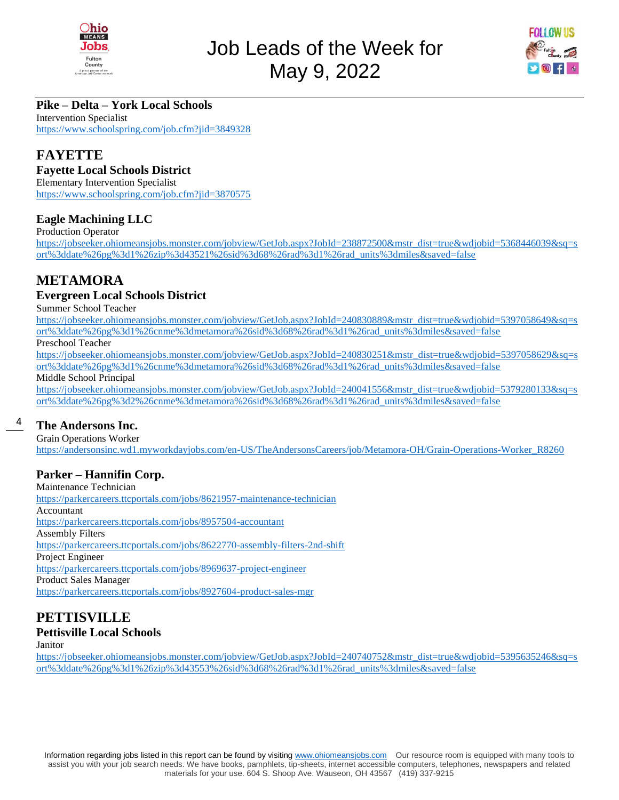



### **Pike – Delta – York Local Schools**

Intervention Specialist <https://www.schoolspring.com/job.cfm?jid=3849328>

### **FAYETTE**

### **Fayette Local Schools District**

Elementary Intervention Specialist <https://www.schoolspring.com/job.cfm?jid=3870575>

### **Eagle Machining LLC**

Production Operator

[https://jobseeker.ohiomeansjobs.monster.com/jobview/GetJob.aspx?JobId=238872500&mstr\\_dist=true&wdjobid=5368446039&sq=s](https://jobseeker.ohiomeansjobs.monster.com/jobview/GetJob.aspx?JobId=238872500&mstr_dist=true&wdjobid=5368446039&sq=sort%3ddate%26pg%3d1%26zip%3d43521%26sid%3d68%26rad%3d1%26rad_units%3dmiles&saved=false) [ort%3ddate%26pg%3d1%26zip%3d43521%26sid%3d68%26rad%3d1%26rad\\_units%3dmiles&saved=false](https://jobseeker.ohiomeansjobs.monster.com/jobview/GetJob.aspx?JobId=238872500&mstr_dist=true&wdjobid=5368446039&sq=sort%3ddate%26pg%3d1%26zip%3d43521%26sid%3d68%26rad%3d1%26rad_units%3dmiles&saved=false)

### **METAMORA**

### **Evergreen Local Schools District**

Summer School Teacher

[https://jobseeker.ohiomeansjobs.monster.com/jobview/GetJob.aspx?JobId=240830889&mstr\\_dist=true&wdjobid=5397058649&sq=s](https://jobseeker.ohiomeansjobs.monster.com/jobview/GetJob.aspx?JobId=240830889&mstr_dist=true&wdjobid=5397058649&sq=sort%3ddate%26pg%3d1%26cnme%3dmetamora%26sid%3d68%26rad%3d1%26rad_units%3dmiles&saved=false) [ort%3ddate%26pg%3d1%26cnme%3dmetamora%26sid%3d68%26rad%3d1%26rad\\_units%3dmiles&saved=false](https://jobseeker.ohiomeansjobs.monster.com/jobview/GetJob.aspx?JobId=240830889&mstr_dist=true&wdjobid=5397058649&sq=sort%3ddate%26pg%3d1%26cnme%3dmetamora%26sid%3d68%26rad%3d1%26rad_units%3dmiles&saved=false)

Preschool Teacher

[https://jobseeker.ohiomeansjobs.monster.com/jobview/GetJob.aspx?JobId=240830251&mstr\\_dist=true&wdjobid=5397058629&sq=s](https://jobseeker.ohiomeansjobs.monster.com/jobview/GetJob.aspx?JobId=240830251&mstr_dist=true&wdjobid=5397058629&sq=sort%3ddate%26pg%3d1%26cnme%3dmetamora%26sid%3d68%26rad%3d1%26rad_units%3dmiles&saved=false) [ort%3ddate%26pg%3d1%26cnme%3dmetamora%26sid%3d68%26rad%3d1%26rad\\_units%3dmiles&saved=false](https://jobseeker.ohiomeansjobs.monster.com/jobview/GetJob.aspx?JobId=240830251&mstr_dist=true&wdjobid=5397058629&sq=sort%3ddate%26pg%3d1%26cnme%3dmetamora%26sid%3d68%26rad%3d1%26rad_units%3dmiles&saved=false)

Middle School Principal

[https://jobseeker.ohiomeansjobs.monster.com/jobview/GetJob.aspx?JobId=240041556&mstr\\_dist=true&wdjobid=5379280133&sq=s](https://jobseeker.ohiomeansjobs.monster.com/jobview/GetJob.aspx?JobId=240041556&mstr_dist=true&wdjobid=5379280133&sq=sort%3ddate%26pg%3d2%26cnme%3dmetamora%26sid%3d68%26rad%3d1%26rad_units%3dmiles&saved=false) [ort%3ddate%26pg%3d2%26cnme%3dmetamora%26sid%3d68%26rad%3d1%26rad\\_units%3dmiles&saved=false](https://jobseeker.ohiomeansjobs.monster.com/jobview/GetJob.aspx?JobId=240041556&mstr_dist=true&wdjobid=5379280133&sq=sort%3ddate%26pg%3d2%26cnme%3dmetamora%26sid%3d68%26rad%3d1%26rad_units%3dmiles&saved=false)

#### 4 **The Andersons Inc.**

Grain Operations Worker [https://andersonsinc.wd1.myworkdayjobs.com/en-US/TheAndersonsCareers/job/Metamora-OH/Grain-Operations-Worker\\_R8260](https://andersonsinc.wd1.myworkdayjobs.com/en-US/TheAndersonsCareers/job/Metamora-OH/Grain-Operations-Worker_R8260)

### **Parker – Hannifin Corp.**

Maintenance Technician <https://parkercareers.ttcportals.com/jobs/8621957-maintenance-technician> Accountant <https://parkercareers.ttcportals.com/jobs/8957504-accountant> Assembly Filters <https://parkercareers.ttcportals.com/jobs/8622770-assembly-filters-2nd-shift> Project Engineer <https://parkercareers.ttcportals.com/jobs/8969637-project-engineer> Product Sales Manager <https://parkercareers.ttcportals.com/jobs/8927604-product-sales-mgr>

## **PETTISVILLE**

### **Pettisville Local Schools**

Janitor

[https://jobseeker.ohiomeansjobs.monster.com/jobview/GetJob.aspx?JobId=240740752&mstr\\_dist=true&wdjobid=5395635246&sq=s](https://jobseeker.ohiomeansjobs.monster.com/jobview/GetJob.aspx?JobId=240740752&mstr_dist=true&wdjobid=5395635246&sq=sort%3ddate%26pg%3d1%26zip%3d43553%26sid%3d68%26rad%3d1%26rad_units%3dmiles&saved=false) [ort%3ddate%26pg%3d1%26zip%3d43553%26sid%3d68%26rad%3d1%26rad\\_units%3dmiles&saved=false](https://jobseeker.ohiomeansjobs.monster.com/jobview/GetJob.aspx?JobId=240740752&mstr_dist=true&wdjobid=5395635246&sq=sort%3ddate%26pg%3d1%26zip%3d43553%26sid%3d68%26rad%3d1%26rad_units%3dmiles&saved=false)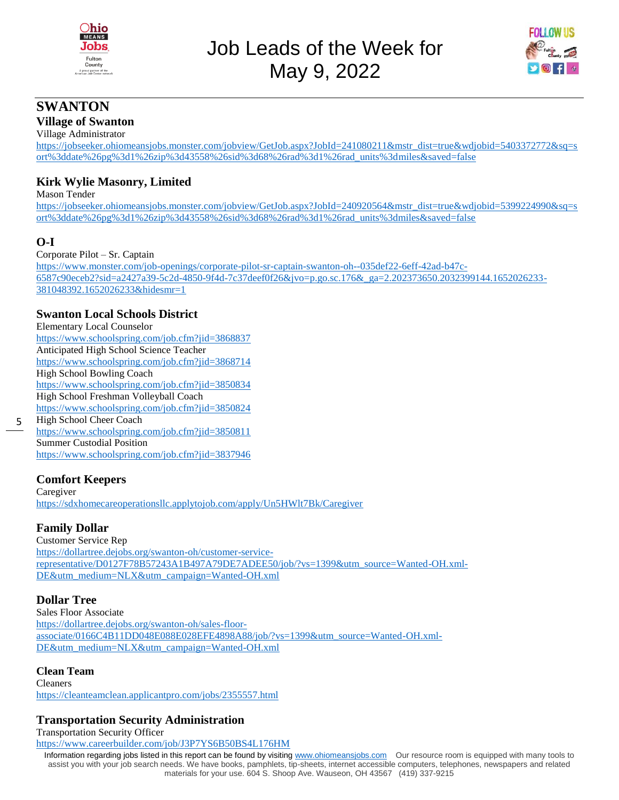



### **SWANTON**

### **Village of Swanton**

Village Administrator

[https://jobseeker.ohiomeansjobs.monster.com/jobview/GetJob.aspx?JobId=241080211&mstr\\_dist=true&wdjobid=5403372772&sq=s](https://jobseeker.ohiomeansjobs.monster.com/jobview/GetJob.aspx?JobId=241080211&mstr_dist=true&wdjobid=5403372772&sq=sort%3ddate%26pg%3d1%26zip%3d43558%26sid%3d68%26rad%3d1%26rad_units%3dmiles&saved=false) [ort%3ddate%26pg%3d1%26zip%3d43558%26sid%3d68%26rad%3d1%26rad\\_units%3dmiles&saved=false](https://jobseeker.ohiomeansjobs.monster.com/jobview/GetJob.aspx?JobId=241080211&mstr_dist=true&wdjobid=5403372772&sq=sort%3ddate%26pg%3d1%26zip%3d43558%26sid%3d68%26rad%3d1%26rad_units%3dmiles&saved=false)

### **Kirk Wylie Masonry, Limited**

Mason Tender

[https://jobseeker.ohiomeansjobs.monster.com/jobview/GetJob.aspx?JobId=240920564&mstr\\_dist=true&wdjobid=5399224990&sq=s](https://jobseeker.ohiomeansjobs.monster.com/jobview/GetJob.aspx?JobId=240920564&mstr_dist=true&wdjobid=5399224990&sq=sort%3ddate%26pg%3d1%26zip%3d43558%26sid%3d68%26rad%3d1%26rad_units%3dmiles&saved=false) [ort%3ddate%26pg%3d1%26zip%3d43558%26sid%3d68%26rad%3d1%26rad\\_units%3dmiles&saved=false](https://jobseeker.ohiomeansjobs.monster.com/jobview/GetJob.aspx?JobId=240920564&mstr_dist=true&wdjobid=5399224990&sq=sort%3ddate%26pg%3d1%26zip%3d43558%26sid%3d68%26rad%3d1%26rad_units%3dmiles&saved=false)

### **O-I**

5

Corporate Pilot – Sr. Captain

[https://www.monster.com/job-openings/corporate-pilot-sr-captain-swanton-oh--035def22-6eff-42ad-b47c-](https://www.monster.com/job-openings/corporate-pilot-sr-captain-swanton-oh--035def22-6eff-42ad-b47c-6587c90eceb2?sid=a2427a39-5c2d-4850-9f4d-7c37deef0f26&jvo=p.go.sc.176&_ga=2.202373650.2032399144.1652026233-381048392.1652026233&hidesmr=1)[6587c90eceb2?sid=a2427a39-5c2d-4850-9f4d-7c37deef0f26&jvo=p.go.sc.176&\\_ga=2.202373650.2032399144.1652026233-](https://www.monster.com/job-openings/corporate-pilot-sr-captain-swanton-oh--035def22-6eff-42ad-b47c-6587c90eceb2?sid=a2427a39-5c2d-4850-9f4d-7c37deef0f26&jvo=p.go.sc.176&_ga=2.202373650.2032399144.1652026233-381048392.1652026233&hidesmr=1) [381048392.1652026233&hidesmr=1](https://www.monster.com/job-openings/corporate-pilot-sr-captain-swanton-oh--035def22-6eff-42ad-b47c-6587c90eceb2?sid=a2427a39-5c2d-4850-9f4d-7c37deef0f26&jvo=p.go.sc.176&_ga=2.202373650.2032399144.1652026233-381048392.1652026233&hidesmr=1)

### **Swanton Local Schools District**

Elementary Local Counselor <https://www.schoolspring.com/job.cfm?jid=3868837> Anticipated High School Science Teacher <https://www.schoolspring.com/job.cfm?jid=3868714> High School Bowling Coach <https://www.schoolspring.com/job.cfm?jid=3850834> High School Freshman Volleyball Coach <https://www.schoolspring.com/job.cfm?jid=3850824> High School Cheer Coach <https://www.schoolspring.com/job.cfm?jid=3850811> Summer Custodial Position <https://www.schoolspring.com/job.cfm?jid=3837946>

### **Comfort Keepers**

Caregiver <https://sdxhomecareoperationsllc.applytojob.com/apply/Un5HWlt7Bk/Caregiver>

### **Family Dollar**

Customer Service Rep [https://dollartree.dejobs.org/swanton-oh/customer-service](https://dollartree.dejobs.org/swanton-oh/customer-service-representative/D0127F78B57243A1B497A79DE7ADEE50/job/?vs=1399&utm_source=Wanted-OH.xml-DE&utm_medium=NLX&utm_campaign=Wanted-OH.xml)[representative/D0127F78B57243A1B497A79DE7ADEE50/job/?vs=1399&utm\\_source=Wanted-OH.xml-](https://dollartree.dejobs.org/swanton-oh/customer-service-representative/D0127F78B57243A1B497A79DE7ADEE50/job/?vs=1399&utm_source=Wanted-OH.xml-DE&utm_medium=NLX&utm_campaign=Wanted-OH.xml)[DE&utm\\_medium=NLX&utm\\_campaign=Wanted-OH.xml](https://dollartree.dejobs.org/swanton-oh/customer-service-representative/D0127F78B57243A1B497A79DE7ADEE50/job/?vs=1399&utm_source=Wanted-OH.xml-DE&utm_medium=NLX&utm_campaign=Wanted-OH.xml)

### **Dollar Tree**

Sales Floor Associate [https://dollartree.dejobs.org/swanton-oh/sales-floor](https://dollartree.dejobs.org/swanton-oh/sales-floor-associate/0166C4B11DD048E088E028EFE4898A88/job/?vs=1399&utm_source=Wanted-OH.xml-DE&utm_medium=NLX&utm_campaign=Wanted-OH.xml)[associate/0166C4B11DD048E088E028EFE4898A88/job/?vs=1399&utm\\_source=Wanted-OH.xml-](https://dollartree.dejobs.org/swanton-oh/sales-floor-associate/0166C4B11DD048E088E028EFE4898A88/job/?vs=1399&utm_source=Wanted-OH.xml-DE&utm_medium=NLX&utm_campaign=Wanted-OH.xml)[DE&utm\\_medium=NLX&utm\\_campaign=Wanted-OH.xml](https://dollartree.dejobs.org/swanton-oh/sales-floor-associate/0166C4B11DD048E088E028EFE4898A88/job/?vs=1399&utm_source=Wanted-OH.xml-DE&utm_medium=NLX&utm_campaign=Wanted-OH.xml)

### **Clean Team**

Cleaners <https://cleanteamclean.applicantpro.com/jobs/2355557.html>

### **Transportation Security Administration**

Transportation Security Officer

<https://www.careerbuilder.com/job/J3P7YS6B50BS4L176HM>

Information regarding jobs listed in this report can be found by visiting [www.ohiomeansjobs.com](http://www.ohiomeansjobs.com/) Our resource room is equipped with many tools to assist you with your job search needs. We have books, pamphlets, tip-sheets, internet accessible computers, telephones, newspapers and related materials for your use. 604 S. Shoop Ave. Wauseon, OH 43567 (419) 337-9215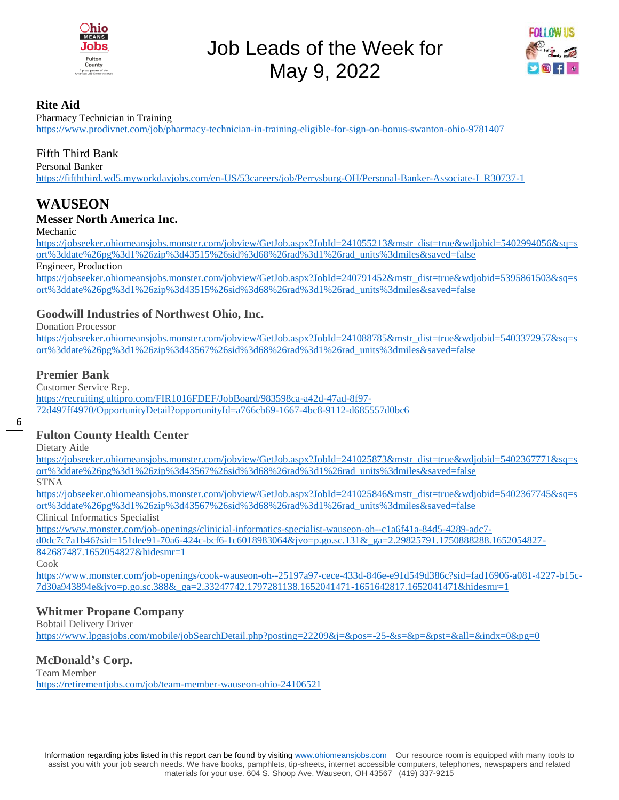



### **Rite Aid**

Pharmacy Technician in Training

<https://www.prodivnet.com/job/pharmacy-technician-in-training-eligible-for-sign-on-bonus-swanton-ohio-9781407>

### Fifth Third Bank

Personal Banker

[https://fifththird.wd5.myworkdayjobs.com/en-US/53careers/job/Perrysburg-OH/Personal-Banker-Associate-I\\_R30737-1](https://fifththird.wd5.myworkdayjobs.com/en-US/53careers/job/Perrysburg-OH/Personal-Banker-Associate-I_R30737-1)

### **WAUSEON**

### **Messer North America Inc.**

Mechanic

[https://jobseeker.ohiomeansjobs.monster.com/jobview/GetJob.aspx?JobId=241055213&mstr\\_dist=true&wdjobid=5402994056&sq=s](https://jobseeker.ohiomeansjobs.monster.com/jobview/GetJob.aspx?JobId=241055213&mstr_dist=true&wdjobid=5402994056&sq=sort%3ddate%26pg%3d1%26zip%3d43515%26sid%3d68%26rad%3d1%26rad_units%3dmiles&saved=false) [ort%3ddate%26pg%3d1%26zip%3d43515%26sid%3d68%26rad%3d1%26rad\\_units%3dmiles&saved=false](https://jobseeker.ohiomeansjobs.monster.com/jobview/GetJob.aspx?JobId=241055213&mstr_dist=true&wdjobid=5402994056&sq=sort%3ddate%26pg%3d1%26zip%3d43515%26sid%3d68%26rad%3d1%26rad_units%3dmiles&saved=false)

Engineer, Production

[https://jobseeker.ohiomeansjobs.monster.com/jobview/GetJob.aspx?JobId=240791452&mstr\\_dist=true&wdjobid=5395861503&sq=s](https://jobseeker.ohiomeansjobs.monster.com/jobview/GetJob.aspx?JobId=240791452&mstr_dist=true&wdjobid=5395861503&sq=sort%3ddate%26pg%3d1%26zip%3d43515%26sid%3d68%26rad%3d1%26rad_units%3dmiles&saved=false) [ort%3ddate%26pg%3d1%26zip%3d43515%26sid%3d68%26rad%3d1%26rad\\_units%3dmiles&saved=false](https://jobseeker.ohiomeansjobs.monster.com/jobview/GetJob.aspx?JobId=240791452&mstr_dist=true&wdjobid=5395861503&sq=sort%3ddate%26pg%3d1%26zip%3d43515%26sid%3d68%26rad%3d1%26rad_units%3dmiles&saved=false)

### **Goodwill Industries of Northwest Ohio, Inc.**

Donation Processor

[https://jobseeker.ohiomeansjobs.monster.com/jobview/GetJob.aspx?JobId=241088785&mstr\\_dist=true&wdjobid=5403372957&sq=s](https://jobseeker.ohiomeansjobs.monster.com/jobview/GetJob.aspx?JobId=241088785&mstr_dist=true&wdjobid=5403372957&sq=sort%3ddate%26pg%3d1%26zip%3d43567%26sid%3d68%26rad%3d1%26rad_units%3dmiles&saved=false) [ort%3ddate%26pg%3d1%26zip%3d43567%26sid%3d68%26rad%3d1%26rad\\_units%3dmiles&saved=false](https://jobseeker.ohiomeansjobs.monster.com/jobview/GetJob.aspx?JobId=241088785&mstr_dist=true&wdjobid=5403372957&sq=sort%3ddate%26pg%3d1%26zip%3d43567%26sid%3d68%26rad%3d1%26rad_units%3dmiles&saved=false)

### **Premier Bank**

Customer Service Rep.

[https://recruiting.ultipro.com/FIR1016FDEF/JobBoard/983598ca-a42d-47ad-8f97-](https://recruiting.ultipro.com/FIR1016FDEF/JobBoard/983598ca-a42d-47ad-8f97-72d497ff4970/OpportunityDetail?opportunityId=a766cb69-1667-4bc8-9112-d685557d0bc6) [72d497ff4970/OpportunityDetail?opportunityId=a766cb69-1667-4bc8-9112-d685557d0bc6](https://recruiting.ultipro.com/FIR1016FDEF/JobBoard/983598ca-a42d-47ad-8f97-72d497ff4970/OpportunityDetail?opportunityId=a766cb69-1667-4bc8-9112-d685557d0bc6)

6

### **Fulton County Health Center**

Dietary Aide

[https://jobseeker.ohiomeansjobs.monster.com/jobview/GetJob.aspx?JobId=241025873&mstr\\_dist=true&wdjobid=5402367771&sq=s](https://jobseeker.ohiomeansjobs.monster.com/jobview/GetJob.aspx?JobId=241025873&mstr_dist=true&wdjobid=5402367771&sq=sort%3ddate%26pg%3d1%26zip%3d43567%26sid%3d68%26rad%3d1%26rad_units%3dmiles&saved=false) [ort%3ddate%26pg%3d1%26zip%3d43567%26sid%3d68%26rad%3d1%26rad\\_units%3dmiles&saved=false](https://jobseeker.ohiomeansjobs.monster.com/jobview/GetJob.aspx?JobId=241025873&mstr_dist=true&wdjobid=5402367771&sq=sort%3ddate%26pg%3d1%26zip%3d43567%26sid%3d68%26rad%3d1%26rad_units%3dmiles&saved=false)

STNA

[https://jobseeker.ohiomeansjobs.monster.com/jobview/GetJob.aspx?JobId=241025846&mstr\\_dist=true&wdjobid=5402367745&sq=s](https://jobseeker.ohiomeansjobs.monster.com/jobview/GetJob.aspx?JobId=241025846&mstr_dist=true&wdjobid=5402367745&sq=sort%3ddate%26pg%3d1%26zip%3d43567%26sid%3d68%26rad%3d1%26rad_units%3dmiles&saved=false) [ort%3ddate%26pg%3d1%26zip%3d43567%26sid%3d68%26rad%3d1%26rad\\_units%3dmiles&saved=false](https://jobseeker.ohiomeansjobs.monster.com/jobview/GetJob.aspx?JobId=241025846&mstr_dist=true&wdjobid=5402367745&sq=sort%3ddate%26pg%3d1%26zip%3d43567%26sid%3d68%26rad%3d1%26rad_units%3dmiles&saved=false)

Clinical Informatics Specialist

[https://www.monster.com/job-openings/clinicial-informatics-specialist-wauseon-oh--c1a6f41a-84d5-4289-adc7-](https://www.monster.com/job-openings/clinicial-informatics-specialist-wauseon-oh--c1a6f41a-84d5-4289-adc7-d0dc7c7a1b46?sid=151dee91-70a6-424c-bcf6-1c6018983064&jvo=p.go.sc.131&_ga=2.29825791.1750888288.1652054827-842687487.1652054827&hidesmr=1)

[d0dc7c7a1b46?sid=151dee91-70a6-424c-bcf6-1c6018983064&jvo=p.go.sc.131&\\_ga=2.29825791.1750888288.1652054827-](https://www.monster.com/job-openings/clinicial-informatics-specialist-wauseon-oh--c1a6f41a-84d5-4289-adc7-d0dc7c7a1b46?sid=151dee91-70a6-424c-bcf6-1c6018983064&jvo=p.go.sc.131&_ga=2.29825791.1750888288.1652054827-842687487.1652054827&hidesmr=1) [842687487.1652054827&hidesmr=1](https://www.monster.com/job-openings/clinicial-informatics-specialist-wauseon-oh--c1a6f41a-84d5-4289-adc7-d0dc7c7a1b46?sid=151dee91-70a6-424c-bcf6-1c6018983064&jvo=p.go.sc.131&_ga=2.29825791.1750888288.1652054827-842687487.1652054827&hidesmr=1)

Cook

[https://www.monster.com/job-openings/cook-wauseon-oh--25197a97-cece-433d-846e-e91d549d386c?sid=fad16906-a081-4227-b15c-](https://www.monster.com/job-openings/cook-wauseon-oh--25197a97-cece-433d-846e-e91d549d386c?sid=fad16906-a081-4227-b15c-7d30a943894e&jvo=p.go.sc.388&_ga=2.33247742.1797281138.1652041471-1651642817.1652041471&hidesmr=1)[7d30a943894e&jvo=p.go.sc.388&\\_ga=2.33247742.1797281138.1652041471-1651642817.1652041471&hidesmr=1](https://www.monster.com/job-openings/cook-wauseon-oh--25197a97-cece-433d-846e-e91d549d386c?sid=fad16906-a081-4227-b15c-7d30a943894e&jvo=p.go.sc.388&_ga=2.33247742.1797281138.1652041471-1651642817.1652041471&hidesmr=1)

### **Whitmer Propane Company**

Bobtail Delivery Driver

<https://www.lpgasjobs.com/mobile/jobSearchDetail.php?posting=22209&j=&pos=-25-&s=&p=&pst=&all=&indx=0&pg=0>

### **McDonald's Corp.**

Team Member <https://retirementjobs.com/job/team-member-wauseon-ohio-24106521>